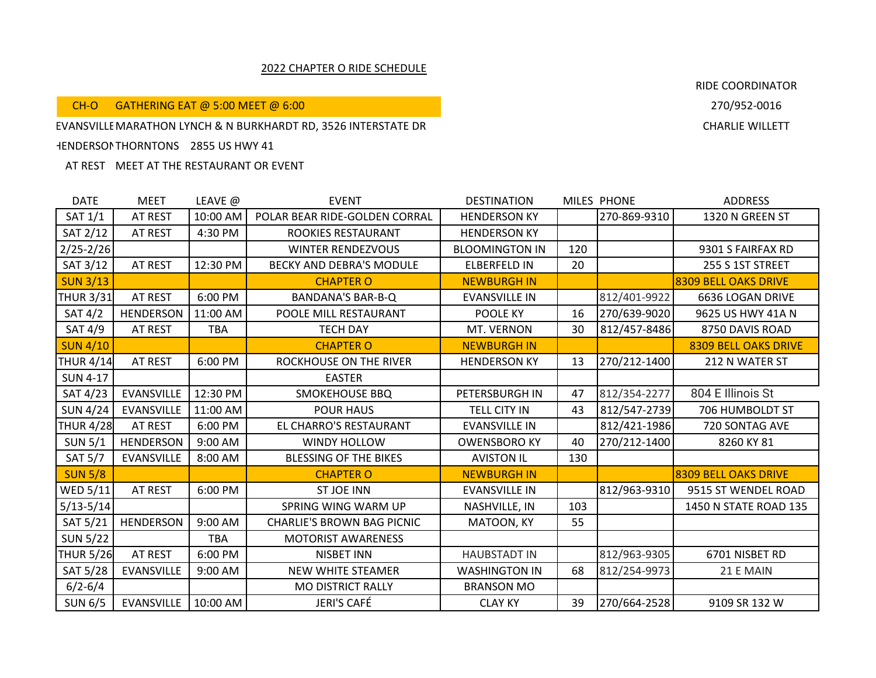## 2022 CHAPTER O RIDE SCHEDULE

CH-O GATHERING EAT @ 5:00 MEET @ 6:00

## RIDE COORDINATOR

EVANSVILLE MARATHON LYNCH & N BURKHARDT RD, 3526 INTERSTATE DR CHARLIE CHARLIE WILLETT

## HENDERSONTHORNTONS 2855 US HWY 41

AT REST MEET AT THE RESTAURANT OR EVENT

| <b>DATE</b>      | <b>MEET</b>       | LEAVE @    | <b>EVENT</b>                      | <b>DESTINATION</b>    |     | MILES PHONE  | <b>ADDRESS</b>              |
|------------------|-------------------|------------|-----------------------------------|-----------------------|-----|--------------|-----------------------------|
| <b>SAT 1/1</b>   | AT REST           | 10:00 AM   | POLAR BEAR RIDE-GOLDEN CORRAL     | <b>HENDERSON KY</b>   |     | 270-869-9310 | 1320 N GREEN ST             |
| SAT 2/12         | <b>AT REST</b>    | 4:30 PM    | ROOKIES RESTAURANT                | <b>HENDERSON KY</b>   |     |              |                             |
| $2/25 - 2/26$    |                   |            | <b>WINTER RENDEZVOUS</b>          | <b>BLOOMINGTON IN</b> | 120 |              | 9301 S FAIRFAX RD           |
| SAT 3/12         | AT REST           | 12:30 PM   | BECKY AND DEBRA'S MODULE          | <b>ELBERFELD IN</b>   | 20  |              | 255 S 1ST STREET            |
| <b>SUN 3/13</b>  |                   |            | <b>CHAPTER O</b>                  | <b>NEWBURGH IN</b>    |     |              | 8309 BELL OAKS DRIVE        |
| <b>THUR 3/31</b> | AT REST           | 6:00 PM    | <b>BANDANA'S BAR-B-Q</b>          | <b>EVANSVILLE IN</b>  |     | 812/401-9922 | 6636 LOGAN DRIVE            |
| SAT 4/2          | <b>HENDERSON</b>  | 11:00 AM   | POOLE MILL RESTAURANT             | POOLE KY              | 16  | 270/639-9020 | 9625 US HWY 41A N           |
| SAT 4/9          | AT REST           | TBA        | <b>TECH DAY</b>                   | MT. VERNON            | 30  | 812/457-8486 | 8750 DAVIS ROAD             |
| <b>SUN 4/10</b>  |                   |            | <b>CHAPTER O</b>                  | <b>NEWBURGH IN</b>    |     |              | <b>8309 BELL OAKS DRIVE</b> |
| <b>THUR 4/14</b> | AT REST           | 6:00 PM    | ROCKHOUSE ON THE RIVER            | <b>HENDERSON KY</b>   | 13  | 270/212-1400 | 212 N WATER ST              |
| <b>SUN 4-17</b>  |                   |            | <b>EASTER</b>                     |                       |     |              |                             |
| SAT 4/23         | <b>EVANSVILLE</b> | 12:30 PM   | <b>SMOKEHOUSE BBQ</b>             | PETERSBURGH IN        | 47  | 812/354-2277 | 804 E Illinois St           |
| <b>SUN 4/24</b>  | <b>EVANSVILLE</b> | 11:00 AM   | <b>POUR HAUS</b>                  | TELL CITY IN          | 43  | 812/547-2739 | 706 HUMBOLDT ST             |
| <b>THUR 4/28</b> | AT REST           | 6:00 PM    | EL CHARRO'S RESTAURANT            | <b>EVANSVILLE IN</b>  |     | 812/421-1986 | 720 SONTAG AVE              |
| <b>SUN 5/1</b>   | <b>HENDERSON</b>  | 9:00 AM    | WINDY HOLLOW                      | <b>OWENSBORO KY</b>   | 40  | 270/212-1400 | 8260 KY 81                  |
| <b>SAT 5/7</b>   | <b>EVANSVILLE</b> | 8:00 AM    | <b>BLESSING OF THE BIKES</b>      | <b>AVISTON IL</b>     | 130 |              |                             |
| <b>SUN 5/8</b>   |                   |            | <b>CHAPTER O</b>                  | <b>NEWBURGH IN</b>    |     |              | 8309 BELL OAKS DRIVE        |
| WED $5/11$       | AT REST           | 6:00 PM    | <b>ST JOE INN</b>                 | <b>EVANSVILLE IN</b>  |     | 812/963-9310 | 9515 ST WENDEL ROAD         |
| $5/13 - 5/14$    |                   |            | SPRING WING WARM UP               | NASHVILLE, IN         | 103 |              | 1450 N STATE ROAD 135       |
| SAT 5/21         | <b>HENDERSON</b>  | 9:00 AM    | <b>CHARLIE'S BROWN BAG PICNIC</b> | MATOON, KY            | 55  |              |                             |
| <b>SUN 5/22</b>  |                   | <b>TBA</b> | <b>MOTORIST AWARENESS</b>         |                       |     |              |                             |
| <b>THUR 5/26</b> | AT REST           | 6:00 PM    | <b>NISBET INN</b>                 | <b>HAUBSTADT IN</b>   |     | 812/963-9305 | 6701 NISBET RD              |
| SAT 5/28         | <b>EVANSVILLE</b> | 9:00 AM    | <b>NEW WHITE STEAMER</b>          | <b>WASHINGTON IN</b>  | 68  | 812/254-9973 | 21 E MAIN                   |
| $6/2 - 6/4$      |                   |            | <b>MO DISTRICT RALLY</b>          | <b>BRANSON MO</b>     |     |              |                             |
| <b>SUN 6/5</b>   | <b>EVANSVILLE</b> | 10:00 AM   | JERI'S CAFÉ                       | <b>CLAY KY</b>        | 39  | 270/664-2528 | 9109 SR 132 W               |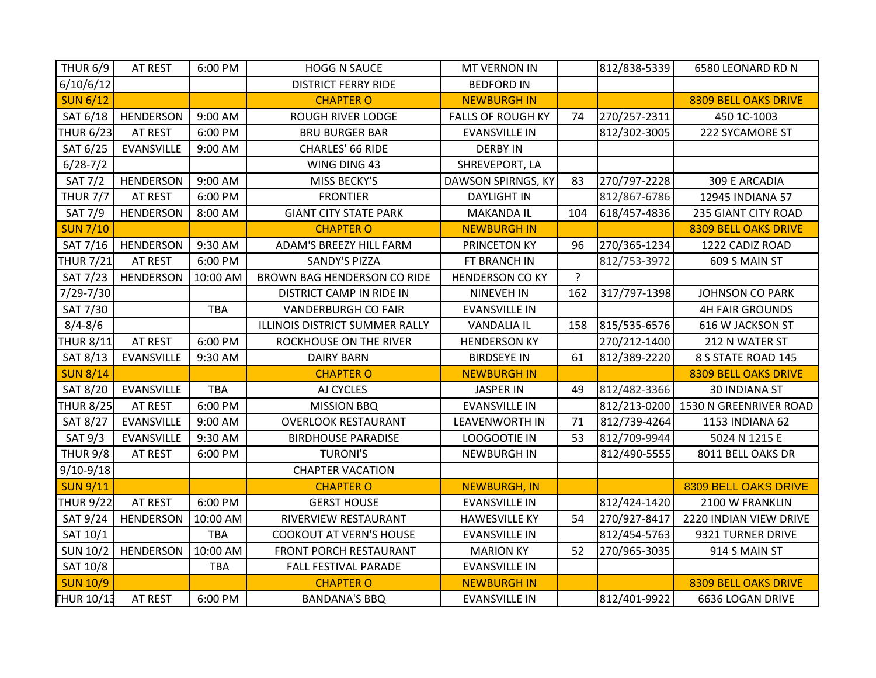| <b>THUR 6/9</b>   | AT REST           | 6:00 PM    | <b>HOGG N SAUCE</b>            | MT VERNON IN             |         | 812/838-5339 | 6580 LEONARD RD N                   |
|-------------------|-------------------|------------|--------------------------------|--------------------------|---------|--------------|-------------------------------------|
| 6/10/6/12         |                   |            | <b>DISTRICT FERRY RIDE</b>     | <b>BEDFORD IN</b>        |         |              |                                     |
| <b>SUN 6/12</b>   |                   |            | <b>CHAPTER O</b>               | <b>NEWBURGH IN</b>       |         |              | <b>8309 BELL OAKS DRIVE</b>         |
| SAT 6/18          | HENDERSON         | 9:00 AM    | <b>ROUGH RIVER LODGE</b>       | <b>FALLS OF ROUGH KY</b> | 74      | 270/257-2311 | 450 1C-1003                         |
| <b>THUR 6/23</b>  | AT REST           | 6:00 PM    | <b>BRU BURGER BAR</b>          | <b>EVANSVILLE IN</b>     |         | 812/302-3005 | 222 SYCAMORE ST                     |
| SAT 6/25          | EVANSVILLE        | 9:00 AM    | CHARLES' 66 RIDE               | <b>DERBY IN</b>          |         |              |                                     |
| $6/28 - 7/2$      |                   |            | WING DING 43                   | SHREVEPORT, LA           |         |              |                                     |
| <b>SAT 7/2</b>    | <b>HENDERSON</b>  | 9:00 AM    | MISS BECKY'S                   | DAWSON SPIRNGS, KY       | 83      | 270/797-2228 | 309 E ARCADIA                       |
| <b>THUR 7/7</b>   | AT REST           | 6:00 PM    | <b>FRONTIER</b>                | <b>DAYLIGHT IN</b>       |         | 812/867-6786 | 12945 INDIANA 57                    |
| <b>SAT 7/9</b>    | <b>HENDERSON</b>  | 8:00 AM    | <b>GIANT CITY STATE PARK</b>   | <b>MAKANDA IL</b>        | 104     | 618/457-4836 | 235 GIANT CITY ROAD                 |
| <b>SUN 7/10</b>   |                   |            | <b>CHAPTER O</b>               | <b>NEWBURGH IN</b>       |         |              | 8309 BELL OAKS DRIVE                |
| SAT 7/16          | HENDERSON         | 9:30 AM    | ADAM'S BREEZY HILL FARM        | PRINCETON KY             | 96      | 270/365-1234 | 1222 CADIZ ROAD                     |
| <b>THUR 7/21</b>  | AT REST           | 6:00 PM    | <b>SANDY'S PIZZA</b>           | FT BRANCH IN             |         | 812/753-3972 | 609 S MAIN ST                       |
| SAT 7/23          | <b>HENDERSON</b>  | 10:00 AM   | BROWN BAG HENDERSON CO RIDE    | <b>HENDERSON CO KY</b>   | $\cdot$ |              |                                     |
| 7/29-7/30         |                   |            | DISTRICT CAMP IN RIDE IN       | <b>NINEVEH IN</b>        | 162     | 317/797-1398 | <b>JOHNSON CO PARK</b>              |
| SAT 7/30          |                   | TBA        | <b>VANDERBURGH CO FAIR</b>     | <b>EVANSVILLE IN</b>     |         |              | <b>4H FAIR GROUNDS</b>              |
| $8/4 - 8/6$       |                   |            | ILLINOIS DISTRICT SUMMER RALLY | <b>VANDALIA IL</b>       | 158     | 815/535-6576 | 616 W JACKSON ST                    |
| <b>THUR 8/11</b>  | AT REST           | 6:00 PM    | ROCKHOUSE ON THE RIVER         | <b>HENDERSON KY</b>      |         | 270/212-1400 | 212 N WATER ST                      |
| SAT 8/13          | EVANSVILLE        | 9:30 AM    | <b>DAIRY BARN</b>              | <b>BIRDSEYE IN</b>       | 61      | 812/389-2220 | 8 S STATE ROAD 145                  |
| <b>SUN 8/14</b>   |                   |            | <b>CHAPTER O</b>               | <b>NEWBURGH IN</b>       |         |              | 8309 BELL OAKS DRIVE                |
| SAT 8/20          | <b>EVANSVILLE</b> | TBA        | AJ CYCLES                      | <b>JASPER IN</b>         | 49      | 812/482-3366 | <b>30 INDIANA ST</b>                |
| <b>THUR 8/25</b>  | AT REST           | 6:00 PM    | <b>MISSION BBQ</b>             | <b>EVANSVILLE IN</b>     |         |              | 812/213-0200 1530 N GREENRIVER ROAD |
| SAT 8/27          | <b>EVANSVILLE</b> | 9:00 AM    | <b>OVERLOOK RESTAURANT</b>     | <b>LEAVENWORTH IN</b>    | 71      | 812/739-4264 | 1153 INDIANA 62                     |
| <b>SAT 9/3</b>    | <b>EVANSVILLE</b> | 9:30 AM    | <b>BIRDHOUSE PARADISE</b>      | LOOGOOTIE IN             | 53      | 812/709-9944 | 5024 N 1215 E                       |
| <b>THUR 9/8</b>   | AT REST           | 6:00 PM    | <b>TURONI'S</b>                | <b>NEWBURGH IN</b>       |         | 812/490-5555 | 8011 BELL OAKS DR                   |
| $9/10 - 9/18$     |                   |            | <b>CHAPTER VACATION</b>        |                          |         |              |                                     |
| <b>SUN 9/11</b>   |                   |            | <b>CHAPTER O</b>               | <b>NEWBURGH, IN</b>      |         |              | 8309 BELL OAKS DRIVE                |
| <b>THUR 9/22</b>  | AT REST           | 6:00 PM    | <b>GERST HOUSE</b>             | EVANSVILLE IN            |         | 812/424-1420 | 2100 W FRANKLIN                     |
| SAT 9/24          | <b>HENDERSON</b>  | 10:00 AM   | RIVERVIEW RESTAURANT           | <b>HAWESVILLE KY</b>     | 54      | 270/927-8417 | 2220 INDIAN VIEW DRIVE              |
| SAT 10/1          |                   | <b>TBA</b> | <b>COOKOUT AT VERN'S HOUSE</b> | <b>EVANSVILLE IN</b>     |         | 812/454-5763 | 9321 TURNER DRIVE                   |
| <b>SUN 10/2</b>   | <b>HENDERSON</b>  | 10:00 AM   | FRONT PORCH RESTAURANT         | <b>MARION KY</b>         | 52      | 270/965-3035 | 914 S MAIN ST                       |
| SAT 10/8          |                   | <b>TBA</b> | FALL FESTIVAL PARADE           | <b>EVANSVILLE IN</b>     |         |              |                                     |
| <b>SUN 10/9</b>   |                   |            | <b>CHAPTER O</b>               | <b>NEWBURGH IN</b>       |         |              | <b>8309 BELL OAKS DRIVE</b>         |
| <b>THUR 10/13</b> | AT REST           | 6:00 PM    | <b>BANDANA'S BBQ</b>           | <b>EVANSVILLE IN</b>     |         | 812/401-9922 | 6636 LOGAN DRIVE                    |